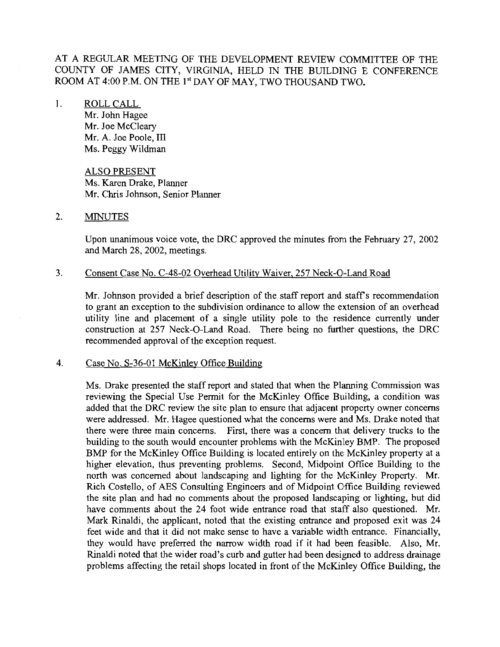AT A REGULAR MEETING OF THE DEVELOPMENT REVIEW COMMITTEE OF THE COUNTY OF JAMES CITY, VIRGINIA, HELD IN THE BUILDING E CONFERENCE ROOM AT 4:00 P.M. ON THE 1<sup>st</sup> DAY OF MAY, TWO THOUSAND TWO.

## 1. ROLL CALL

Mr. John Hagee Mr. Joe McCleary Mr. A. Joe Poole, 111 Ms. Peggy Wildman

ALSO PRESENT Ms. Karen Drake, Planner Mr. Chris Johnson, Senior Planner

### 2. MINUTES

Upon unanimous voice vote, the DRC approved the minutes from the February 27, 2002 and March 28, 2002, meetings.

### 3. Consent Case No. C-48-02 Overhead Utility Waiver, 257 Neck-O-Land Road

Mr. Johnson provided a brief description of the staff report and staff's recommendation to grant an exception to the subdivision ordinance to allow the extension of an overhead utility line and placement of a single utility pole to the residence currently under construction at 257 Neck-0-Land Road. There being no furtlher questions, the DRC recommended approval of the exception request.

### 4. Case No. S-36-01 McKinlev Office Building

Ms. Drake presented the staff report and stated that when the Planning Commission was reviewing the Special Use Permit for the McKinley Office Building, a condition was added that the DRC review the site plan to ensure that adjacent property owner concerns were addressed. Mr. Hagee questioned what the concerns were and Ms. Drake noted that there were three main concerns. First, there was a concern that delivery trucks to the building to the south would encounter problems with the McKinley BMP. The proposed BMP for the McKinley Office Building is located entirely on the McKinley property at a higher elevation, thus preventing problems. Second, Midpoint Office Building to the north was concerned about landscaping and lighting for the McKinley Property. Mr. Rich Costello, of AES Consulting Engineers and of Midpoint Office Building reviewed the site plan and had no comments about the proposed landscaping or lighting, but did have comments about the 24 foot wide entrance road that staff also questioned. Mr. Mark Rinaldi, the applicant, noted that the existing entrance and proposed exit was 24 feet wide and that it did not make sense to have a variable width entrance. Financially, they would have preferred the narrow width road if it had been feasible. Also, Mr. Rinaldi noted that the wider road's curb and gutter had been designed to address drainage problems affecting the retail shops located in front of the McKinley Office Building, the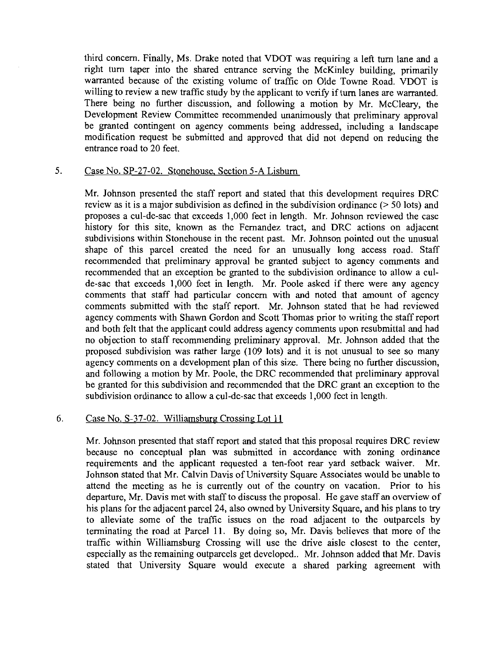third concern. Finally, Ms. Drake noted that VDOT was requiring a left turn lane and a right turn taper into the shared entrance serving the McKinley building, primarily warranted because of the existing volume of traffic on Olde Towne Road. VDOT is willing to review a new traffic study by the applicant to verify if **turn** lanes are warranted. There being no further discussion, and following a motion by Mr. McCleary, the Development Review Committee recommended unanimously that preliminary approval be granted contingent on agency comments being addressed, including a landscape modification request be submitted and approved that did not depend on reducing the entrance road to 20 feet.

# 5. Case No. SP-27-02. Stonehouse. Section 5-A Lisburn

Mr. Johnson presented the staff report and stated that this development requires DRC review as it is a major subdivision as defined in the subdivision ordinance (> 50 lots) and proposes a cul-de-sac that exceeds 1,000 feet in length. Mr. Johnson reviewed the case history for this site, known as the Fernandez tract, and DRC actions on adjacent subdivisions within Stonehouse in the recent past. Mr. Johnson pointed out the unusual shape of this parcel created the need for an unusually long access road. Staff recommended that preliminary approval be granted subject to agency comments and recommended that an exception be granted to the subdivision ordinance to allow a culde-sac that exceeds 1,000 feet in length. Mr. Poole asked if there were any agency comments that staff had particular concern with and noted that amount of agency comments submitted with the staff report. Mr. Johnson stated that he had reviewed agency comments with Shawn Gordon and Scott Thomas prior to writing the staff report and both felt that the applicant could address agency comments upon resubmittal and had no objection to staff recommending preliminary approval. Mr. Johnson added that the proposed subdivision was rather large (109 lots) and it is not lunusual to see so many agency comments on a development plan of this size. There being no further discussion, and following a motion by Mr. Poole, the DRC recommended that preliminary approval be granted for this subdivision and recommended that the DRC grant an exception to the subdivision ordinance to allow a cul-de-sac that exceeds 1,000 feet in length.

# 6. Case No. S-37-02. Williamsburg Crossing Lot 11

Mr. Johnson presented that staff report and stated that this proposal requires DRC review because no conceptual plan was submitted in accordance with zoning ordinance requirements and the applicant requested a ten-foot rear yard setback waiver. Mr. Johnson stated that Mr. Calvin Davis of University Square Associates would be unable to attend the meeting as he is currently out of the country on vacation. Prior to his departure, Mr. Davis met with staff to discuss the proposal. He gave staff **an** overview of his plans for the adjacent parcel 24, also owned by University Square, and his plans to try to alleviate some of the traffic issues on the road adjacent to the outparcels by terminating the road at Parcel 11. By doing so, Mr. Davis believes that more of the traffic within Williamsburg Crossing will use the drive aisle closest to the center, especially as the remaining outparcels get developed.. Mr. Johnson added that Mr. Davis stated that University Square would execute a shared parking agreement with